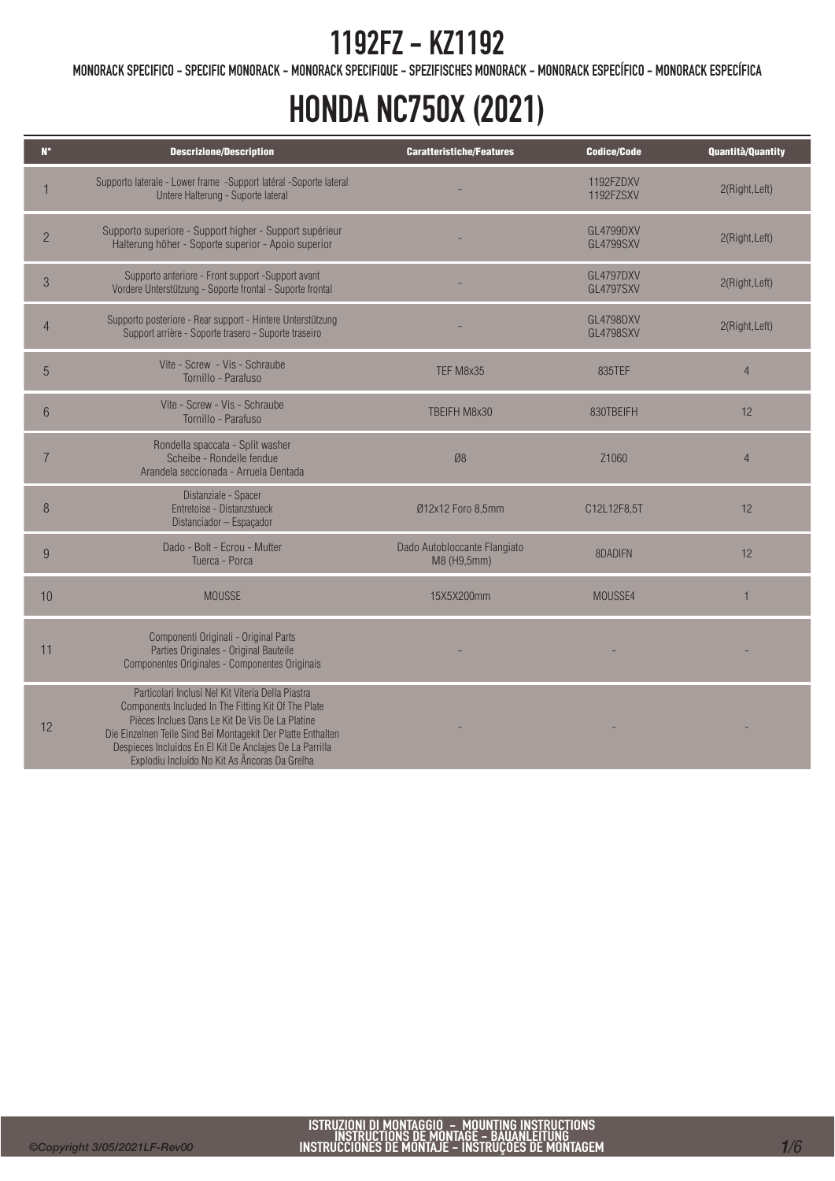MONORACK SPECIFICO - SPECIFIC MONORACK - MONORACK SPECIFIQUE - SPEZIFISCHES MONORACK - MONORACK ESPECÍFICO - MONORACK ESPECÍFICA

## HONDA NC750X (2021)

| $N^{\circ}$    | <b>Descrizione/Description</b>                                                                                                                                                                                                                                                                                                           | <b>Caratteristiche/Features</b>             | <b>Codice/Code</b>            | Quantità/Quantity |
|----------------|------------------------------------------------------------------------------------------------------------------------------------------------------------------------------------------------------------------------------------------------------------------------------------------------------------------------------------------|---------------------------------------------|-------------------------------|-------------------|
|                | Supporto laterale - Lower frame -Support latéral -Soporte lateral<br>Untere Halterung - Suporte lateral                                                                                                                                                                                                                                  |                                             | 1192FZDXV<br>1192FZSXV        | 2(Right, Left)    |
| $\overline{2}$ | Supporto superiore - Support higher - Support supérieur<br>Halterung höher - Soporte superior - Apoio superior                                                                                                                                                                                                                           |                                             | GL4799DXV<br><b>GL4799SXV</b> | 2(Right, Left)    |
| 3              | Supporto anteriore - Front support -Support avant<br>Vordere Unterstützung - Soporte frontal - Suporte frontal                                                                                                                                                                                                                           |                                             | GL4797DXV<br><b>GL4797SXV</b> | 2(Right, Left)    |
|                | Supporto posteriore - Rear support - Hintere Unterstützung<br>Support arrière - Soporte trasero - Suporte traseiro                                                                                                                                                                                                                       |                                             | GL4798DXV<br>GL4798SXV        | 2(Right, Left)    |
| 5              | Vite - Screw - Vis - Schraube<br>Tornillo - Parafuso                                                                                                                                                                                                                                                                                     | TEF M8x35                                   | 835TEF                        | $\overline{4}$    |
| 6              | Vite - Screw - Vis - Schraube<br>Tornillo - Parafuso                                                                                                                                                                                                                                                                                     | TBEIFH M8x30                                | 830TBEIFH                     | 12                |
|                | Rondella spaccata - Split washer<br>Scheibe - Rondelle fendue<br>Arandela seccionada - Arruela Dentada                                                                                                                                                                                                                                   | Ø8                                          | Z1060                         | $\overline{4}$    |
| 8              | Distanziale - Spacer<br>Entretoise - Distanzstueck<br>Distanciador - Espaçador                                                                                                                                                                                                                                                           | Ø12x12 Foro 8,5mm                           | C12L12F8,5T                   | 12                |
| 9              | Dado - Bolt - Ecrou - Mutter<br>Tuerca - Porca                                                                                                                                                                                                                                                                                           | Dado Autobloccante Flangiato<br>M8 (H9,5mm) | 8DADIFN                       | 12                |
| 10             | <b>MOUSSE</b>                                                                                                                                                                                                                                                                                                                            | 15X5X200mm                                  | MOUSSE4                       | 1                 |
| 11             | Componenti Originali - Original Parts<br>Parties Originales - Original Bauteile<br>Componentes Originales - Componentes Originais                                                                                                                                                                                                        |                                             |                               |                   |
| 12             | Particolari Inclusi Nel Kit Viteria Della Piastra<br>Components Included In The Fitting Kit Of The Plate<br>Pièces Inclues Dans Le Kit De Vis De La Platine<br>Die Einzelnen Teile Sind Bei Montagekit Der Platte Enthalten<br>Despieces Incluidos En El Kit De Anclajes De La Parrilla<br>Explodiu Incluído No Kit As Âncoras Da Grelha |                                             |                               |                   |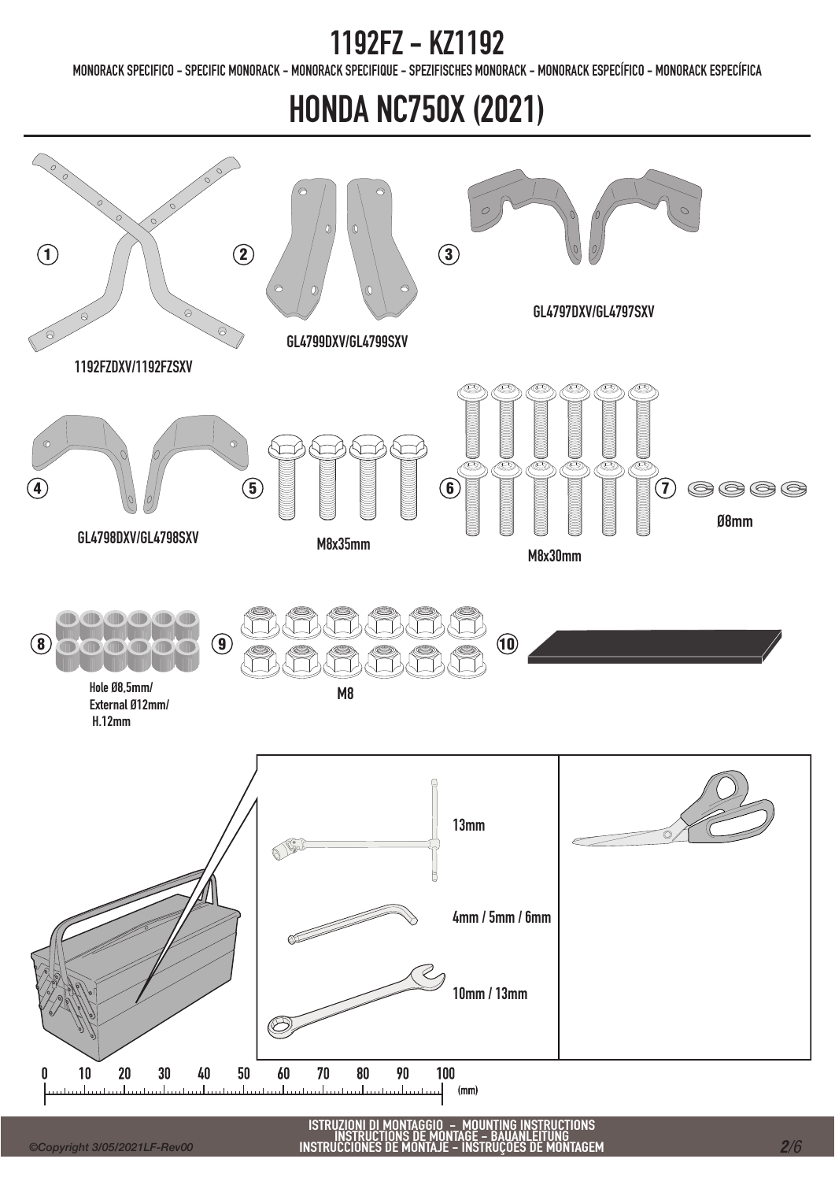MONORACK SPECIFICO - SPECIFIC MONORACK - MONORACK SPECIFIQUE - SPEZIFISCHES MONORACK - MONORACK ESPECÍFICO - MONORACK ESPECÍFICA

### HONDA NC750X (2021)



ISTRUZIONI DI MONTAGGIO – MOUNTING INSTRUCTIONS<br>INSTRUCTIONS DE MONTAGE – BAUANLEITUNG<br>INSTRUCCIONES DE MONTAJE – INSTRUÇÕES DE MONTAGEM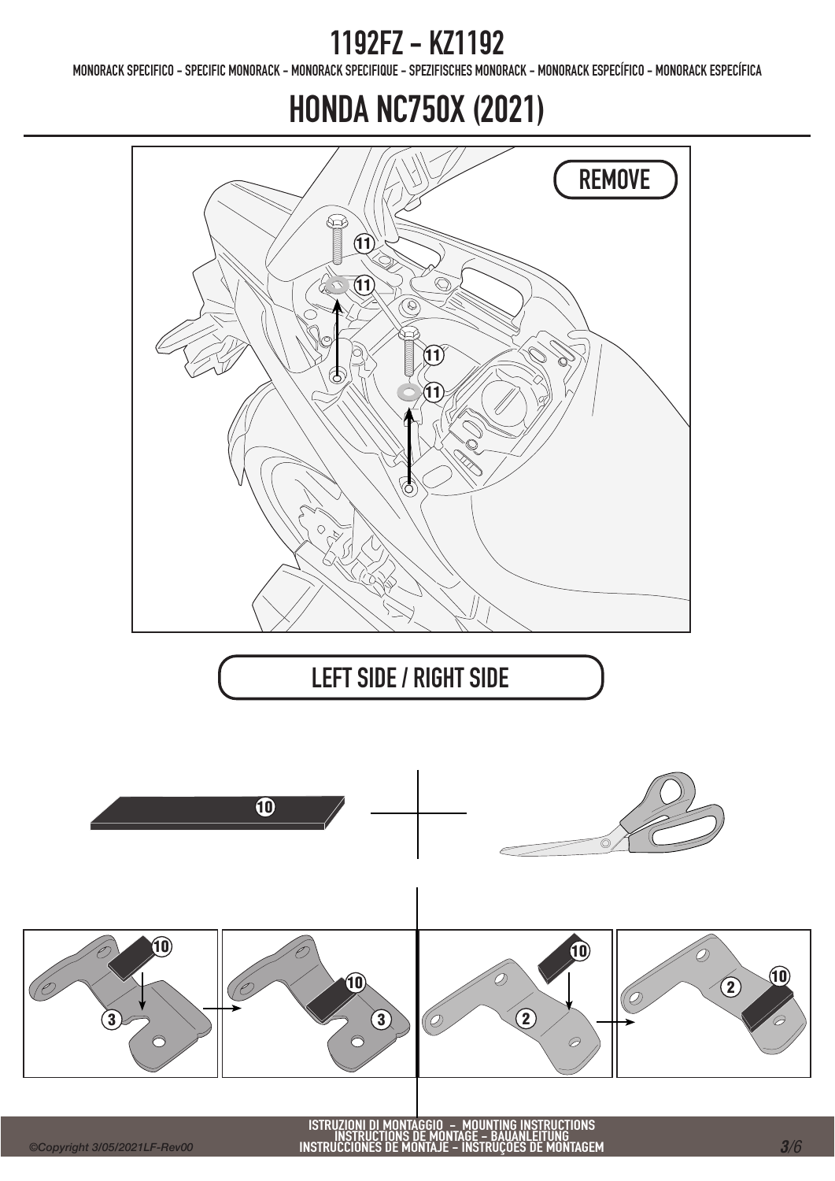MONORACK SPECIFICO - SPECIFIC MONORACK - MONORACK SPECIFIQUE - SPEZIFISCHES MONORACK - MONORACK ESPECÍFICO - MONORACK ESPECÍFICA

### HONDA NC750X (2021)



#### LEFT SIDE / RIGHT SIDE

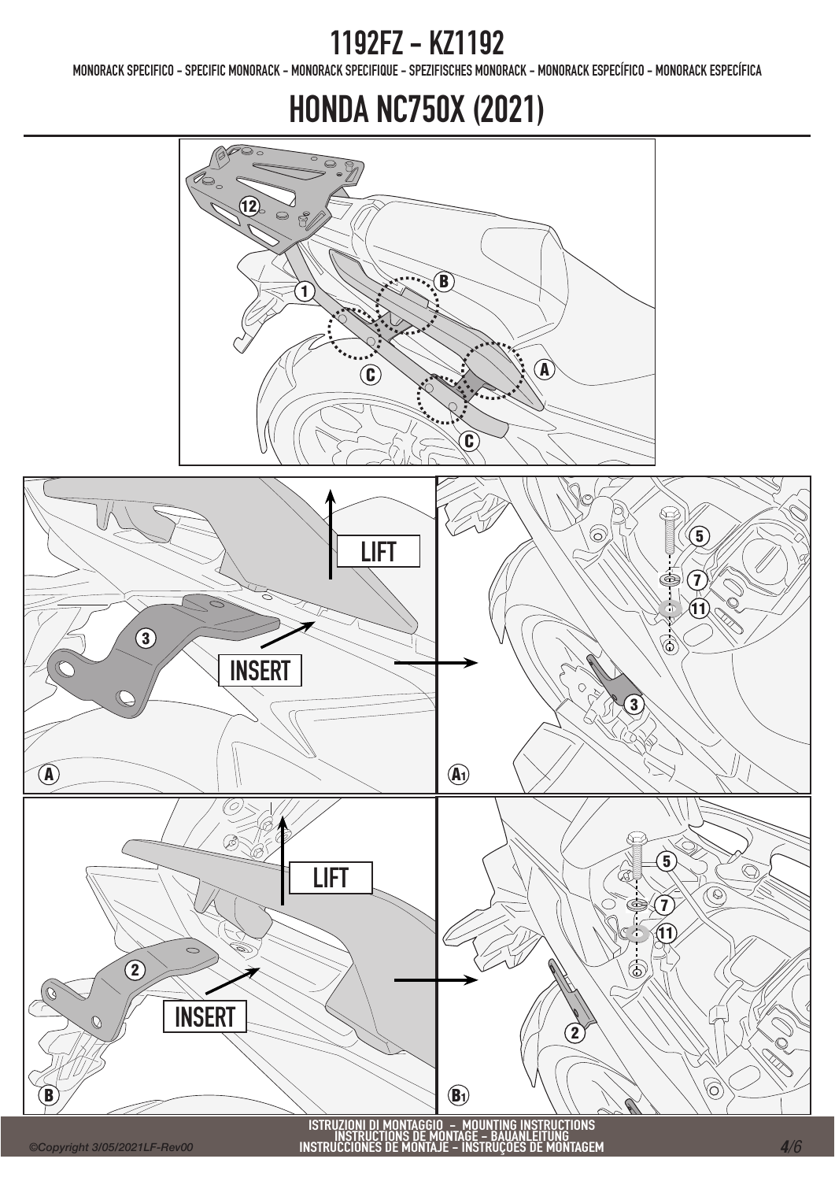MONORACK SPECIFICO - SPECIFIC MONORACK - MONORACK SPECIFIQUE - SPEZIFISCHES MONORACK - MONORACK ESPECÍFICO - MONORACK ESPECÍFICA

## HONDA NC750X (2021)

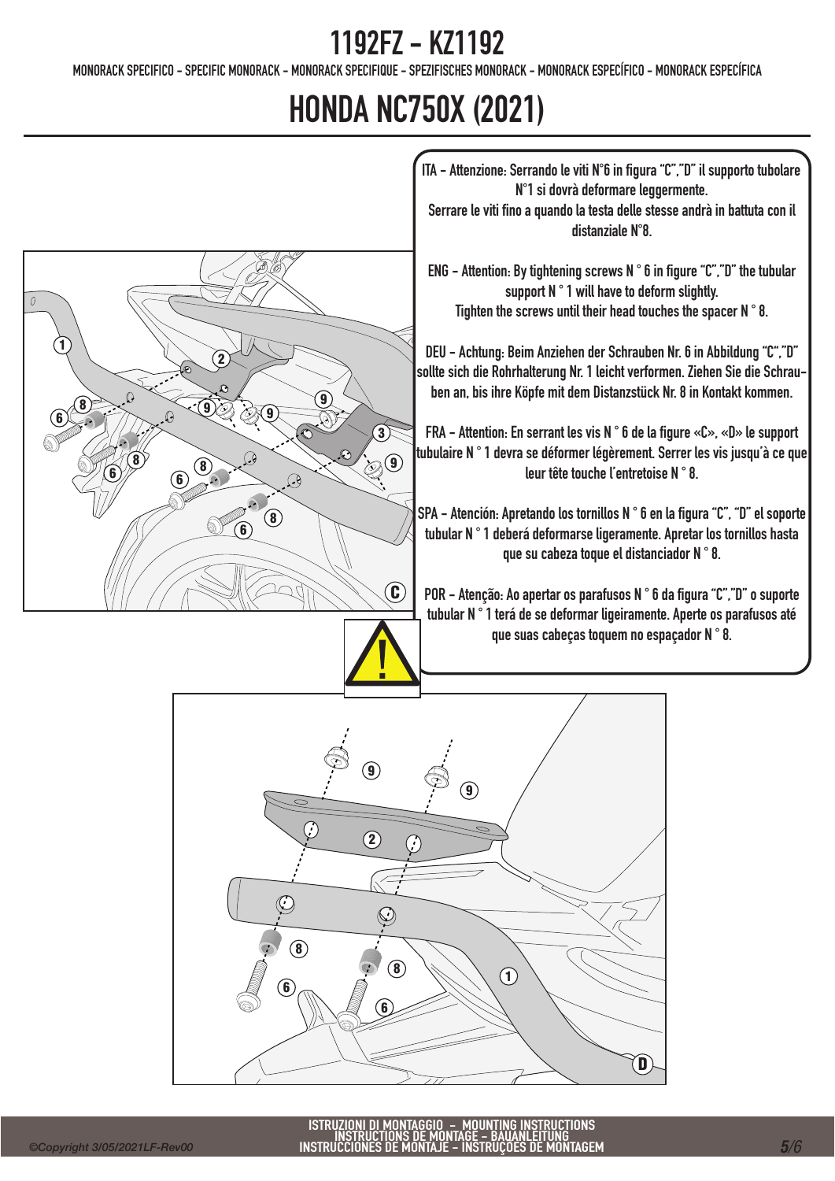MONORACK SPECIFICO - SPECIFIC MONORACK - MONORACK SPECIFIQUE - SPEZIFISCHES MONORACK - MONORACK ESPECÍFICO - MONORACK ESPECÍFICA

# HONDA NC750X (2021)